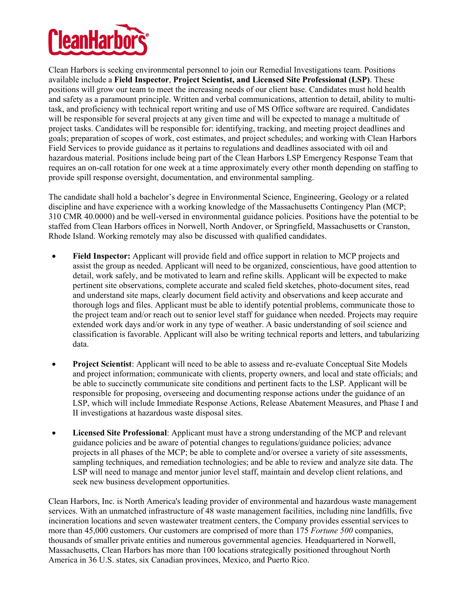

Clean Harbors is seeking environmental personnel to join our Remedial Investigations team. Positions available include a **Field Inspector**, **Project Scientist, and Licensed Site Professional (LSP)**. These positions will grow our team to meet the increasing needs of our client base. Candidates must hold health and safety as a paramount principle. Written and verbal communications, attention to detail, ability to multitask, and proficiency with technical report writing and use of MS Office software are required. Candidates will be responsible for several projects at any given time and will be expected to manage a multitude of project tasks. Candidates will be responsible for: identifying, tracking, and meeting project deadlines and goals; preparation of scopes of work, cost estimates, and project schedules; and working with Clean Harbors Field Services to provide guidance as it pertains to regulations and deadlines associated with oil and hazardous material. Positions include being part of the Clean Harbors LSP Emergency Response Team that requires an on-call rotation for one week at a time approximately every other month depending on staffing to provide spill response oversight, documentation, and environmental sampling.

The candidate shall hold a bachelor's degree in Environmental Science, Engineering, Geology or a related discipline and have experience with a working knowledge of the Massachusetts Contingency Plan (MCP; 310 CMR 40.0000) and be well-versed in environmental guidance policies. Positions have the potential to be staffed from Clean Harbors offices in Norwell, North Andover, or Springfield, Massachusetts or Cranston, Rhode Island. Working remotely may also be discussed with qualified candidates.

- **Field Inspector:** Applicant will provide field and office support in relation to MCP projects and assist the group as needed. Applicant will need to be organized, conscientious, have good attention to detail, work safely, and be motivated to learn and refine skills. Applicant will be expected to make pertinent site observations, complete accurate and scaled field sketches, photo-document sites, read and understand site maps, clearly document field activity and observations and keep accurate and thorough logs and files. Applicant must be able to identify potential problems, communicate those to the project team and/or reach out to senior level staff for guidance when needed. Projects may require extended work days and/or work in any type of weather. A basic understanding of soil science and classification is favorable. Applicant will also be writing technical reports and letters, and tabularizing data.
- **Project Scientist**: Applicant will need to be able to assess and re-evaluate Conceptual Site Models and project information; communicate with clients, property owners, and local and state officials; and be able to succinctly communicate site conditions and pertinent facts to the LSP. Applicant will be responsible for proposing, overseeing and documenting response actions under the guidance of an LSP, which will include Immediate Response Actions, Release Abatement Measures, and Phase I and II investigations at hazardous waste disposal sites.
- **Licensed Site Professional**: Applicant must have a strong understanding of the MCP and relevant guidance policies and be aware of potential changes to regulations/guidance policies; advance projects in all phases of the MCP; be able to complete and/or oversee a variety of site assessments, sampling techniques, and remediation technologies; and be able to review and analyze site data. The LSP will need to manage and mentor junior level staff, maintain and develop client relations, and seek new business development opportunities.

Clean Harbors, Inc. is North America's leading provider of environmental and hazardous waste management services. With an unmatched infrastructure of 48 waste management facilities, including nine landfills, five incineration locations and seven wastewater treatment centers, the Company provides essential services to more than 45,000 customers. Our customers are comprised of more than 175 *Fortune 500* companies, thousands of smaller private entities and numerous governmental agencies. Headquartered in Norwell, Massachusetts, Clean Harbors has more than 100 locations strategically positioned throughout North America in 36 U.S. states, six Canadian provinces, Mexico, and Puerto Rico.